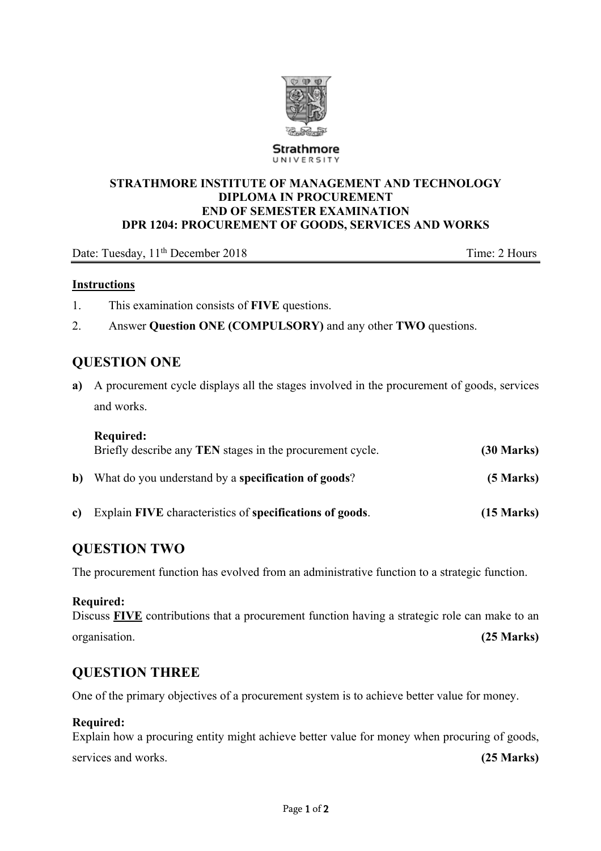

**Strathmore** UNIVERSITY

#### **STRATHMORE INSTITUTE OF MANAGEMENT AND TECHNOLOGY DIPLOMA IN PROCUREMENT END OF SEMESTER EXAMINATION DPR 1204: PROCUREMENT OF GOODS, SERVICES AND WORKS**

Date: Tuesday, 11<sup>th</sup> December 2018 Time: 2 Hours

#### **Instructions**

- 1. This examination consists of **FIVE** questions.
- 2. Answer **Question ONE (COMPULSORY)** and any other **TWO** questions.

### **QUESTION ONE**

**a)** A procurement cycle displays all the stages involved in the procurement of goods, services and works.

|              | <b>Required:</b><br>Briefly describe any TEN stages in the procurement cycle. | $(30 \text{ Marks})$ |
|--------------|-------------------------------------------------------------------------------|----------------------|
| b)           | What do you understand by a specification of goods?                           | $(5$ Marks)          |
| $\mathbf{c}$ | Explain FIVE characteristics of specifications of goods.                      | $(15 \text{ Marks})$ |

## **QUESTION TWO**

The procurement function has evolved from an administrative function to a strategic function.

#### **Required:**

Discuss **FIVE** contributions that a procurement function having a strategic role can make to an organisation. **(25 Marks)**

## **QUESTION THREE**

One of the primary objectives of a procurement system is to achieve better value for money.

#### **Required:**

Explain how a procuring entity might achieve better value for money when procuring of goods, services and works. **(25 Marks)**